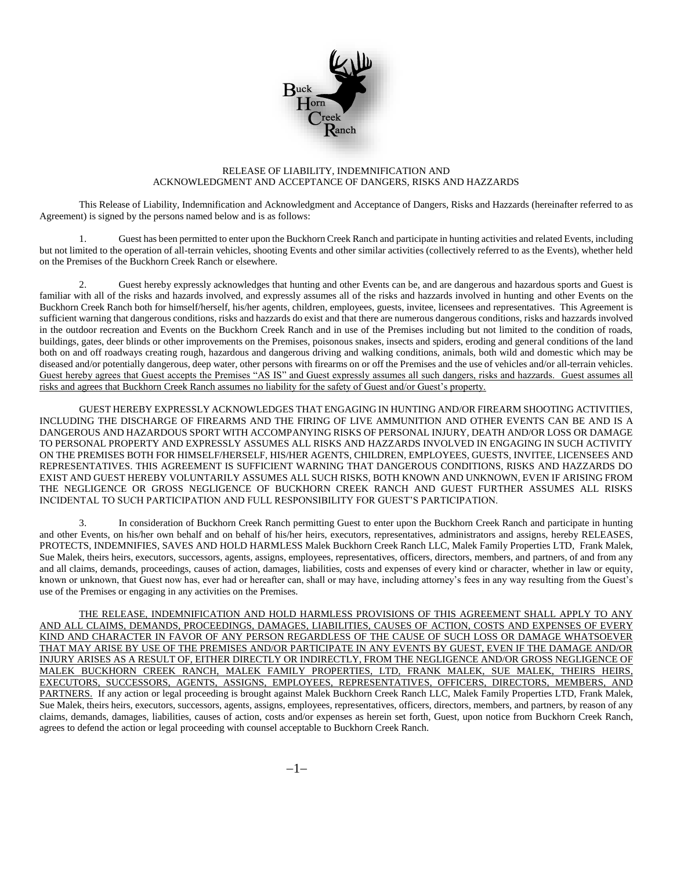

## RELEASE OF LIABILITY, INDEMNIFICATION AND ACKNOWLEDGMENT AND ACCEPTANCE OF DANGERS, RISKS AND HAZZARDS

This Release of Liability, Indemnification and Acknowledgment and Acceptance of Dangers, Risks and Hazzards (hereinafter referred to as Agreement) is signed by the persons named below and is as follows:

1. Guest has been permitted to enter upon the Buckhorn Creek Ranch and participate in hunting activities and related Events, including but not limited to the operation of all-terrain vehicles, shooting Events and other similar activities (collectively referred to as the Events), whether held on the Premises of the Buckhorn Creek Ranch or elsewhere.

2. Guest hereby expressly acknowledges that hunting and other Events can be, and are dangerous and hazardous sports and Guest is familiar with all of the risks and hazards involved, and expressly assumes all of the risks and hazzards involved in hunting and other Events on the Buckhorn Creek Ranch both for himself/herself, his/her agents, children, employees, guests, invitee, licensees and representatives. This Agreement is sufficient warning that dangerous conditions, risks and hazzards do exist and that there are numerous dangerous conditions, risks and hazzards involved in the outdoor recreation and Events on the Buckhorn Creek Ranch and in use of the Premises including but not limited to the condition of roads, buildings, gates, deer blinds or other improvements on the Premises, poisonous snakes, insects and spiders, eroding and general conditions of the land both on and off roadways creating rough, hazardous and dangerous driving and walking conditions, animals, both wild and domestic which may be diseased and/or potentially dangerous, deep water, other persons with firearms on or off the Premises and the use of vehicles and/or all-terrain vehicles. Guest hereby agrees that Guest accepts the Premises "AS IS" and Guest expressly assumes all such dangers, risks and hazzards. Guest assumes all risks and agrees that Buckhorn Creek Ranch assumes no liability for the safety of Guest and/or Guest's property.

GUEST HEREBY EXPRESSLY ACKNOWLEDGES THAT ENGAGING IN HUNTING AND/OR FIREARM SHOOTING ACTIVITIES, INCLUDING THE DISCHARGE OF FIREARMS AND THE FIRING OF LIVE AMMUNITION AND OTHER EVENTS CAN BE AND IS A DANGEROUS AND HAZARDOUS SPORT WITH ACCOMPANYING RISKS OF PERSONAL INJURY, DEATH AND/OR LOSS OR DAMAGE TO PERSONAL PROPERTY AND EXPRESSLY ASSUMES ALL RISKS AND HAZZARDS INVOLVED IN ENGAGING IN SUCH ACTIVITY ON THE PREMISES BOTH FOR HIMSELF/HERSELF, HIS/HER AGENTS, CHILDREN, EMPLOYEES, GUESTS, INVITEE, LICENSEES AND REPRESENTATIVES. THIS AGREEMENT IS SUFFICIENT WARNING THAT DANGEROUS CONDITIONS, RISKS AND HAZZARDS DO EXIST AND GUEST HEREBY VOLUNTARILY ASSUMES ALL SUCH RISKS, BOTH KNOWN AND UNKNOWN, EVEN IF ARISING FROM THE NEGLIGENCE OR GROSS NEGLIGENCE OF BUCKHORN CREEK RANCH AND GUEST FURTHER ASSUMES ALL RISKS INCIDENTAL TO SUCH PARTICIPATION AND FULL RESPONSIBILITY FOR GUEST'S PARTICIPATION.

3. In consideration of Buckhorn Creek Ranch permitting Guest to enter upon the Buckhorn Creek Ranch and participate in hunting and other Events, on his/her own behalf and on behalf of his/her heirs, executors, representatives, administrators and assigns, hereby RELEASES, PROTECTS, INDEMNIFIES, SAVES AND HOLD HARMLESS Malek Buckhorn Creek Ranch LLC, Malek Family Properties LTD, Frank Malek, Sue Malek, theirs heirs, executors, successors, agents, assigns, employees, representatives, officers, directors, members, and partners, of and from any and all claims, demands, proceedings, causes of action, damages, liabilities, costs and expenses of every kind or character, whether in law or equity, known or unknown, that Guest now has, ever had or hereafter can, shall or may have, including attorney's fees in any way resulting from the Guest's use of the Premises or engaging in any activities on the Premises.

THE RELEASE, INDEMNIFICATION AND HOLD HARMLESS PROVISIONS OF THIS AGREEMENT SHALL APPLY TO ANY AND ALL CLAIMS, DEMANDS, PROCEEDINGS, DAMAGES, LIABILITIES, CAUSES OF ACTION, COSTS AND EXPENSES OF EVERY KIND AND CHARACTER IN FAVOR OF ANY PERSON REGARDLESS OF THE CAUSE OF SUCH LOSS OR DAMAGE WHATSOEVER THAT MAY ARISE BY USE OF THE PREMISES AND/OR PARTICIPATE IN ANY EVENTS BY GUEST, EVEN IF THE DAMAGE AND/OR INJURY ARISES AS A RESULT OF, EITHER DIRECTLY OR INDIRECTLY, FROM THE NEGLIGENCE AND/OR GROSS NEGLIGENCE OF MALEK BUCKHORN CREEK RANCH, MALEK FAMILY PROPERTIES, LTD, FRANK MALEK, SUE MALEK, THEIRS HEIRS, EXECUTORS, SUCCESSORS, AGENTS, ASSIGNS, EMPLOYEES, REPRESENTATIVES, OFFICERS, DIRECTORS, MEMBERS, AND PARTNERS. If any action or legal proceeding is brought against Malek Buckhorn Creek Ranch LLC, Malek Family Properties LTD, Frank Malek, Sue Malek, theirs heirs, executors, successors, agents, assigns, employees, representatives, officers, directors, members, and partners, by reason of any claims, demands, damages, liabilities, causes of action, costs and/or expenses as herein set forth, Guest, upon notice from Buckhorn Creek Ranch, agrees to defend the action or legal proceeding with counsel acceptable to Buckhorn Creek Ranch.